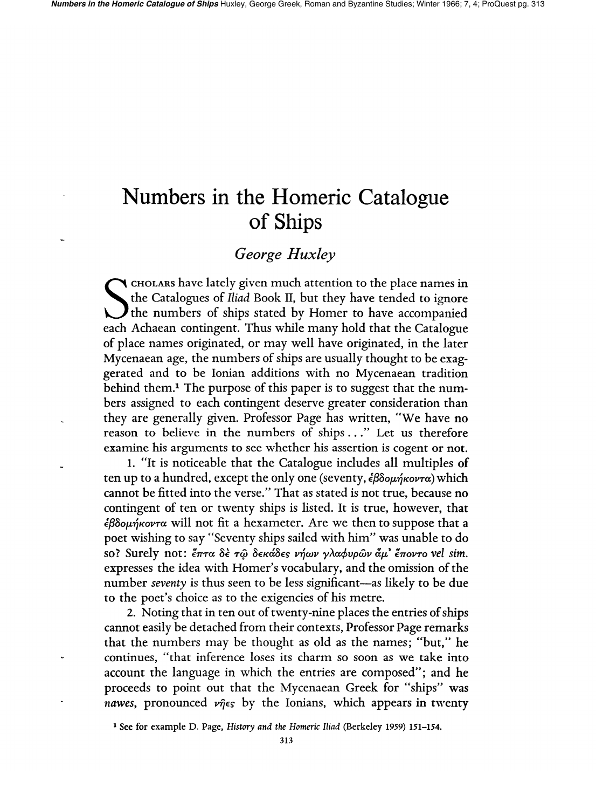# **Numbers in the Homeric Catalogue of Ships**

## *George Huxley*

 $\blacktriangleleft$  cholars have lately given much attention to the place names in the Catalogues of *Iliad* Book II, but they have tended to ignore The numbers of ships stated by Homer to have accompanied each Achaean contingent. Thus while many hold that the Catalogue of place names originated, or may well have originated, in the later Mycenaean age, the numbers of ships are usually thought to be exaggerated and to be Ionian additions with no Mycenaean tradition behind them.<sup>1</sup> The purpose of this paper is to suggest that the numbers assigned to each contingent deserve greater consideration than they are generally given. Professor Page has written, "We have no reason to believe in the numbers of ships ... " Let us therefore examine his arguments to see whether his assertion is cogent or not.

1. "It is noticeable that the Catalogue includes all multiples of ten up to a hundred, except the only one (seventy,  $\epsilon \beta \delta o\mu \eta \kappa o\nu \tau \alpha$ ) which cannot be fitted into the verse." That as stated is not true, because no contingent of ten or twenty ships is listed. It is true, however, that  $\epsilon\beta\delta$ o $\mu\eta\kappa$ ovr $\alpha$  will not fit a hexameter. Are we then to suppose that a poet wishing to say "Seventy ships sailed with him" was unable to do so? Surely not: *ἔπτ*α δε τῷ δεκάδες νήων γλαφυρῶν ἄμ' ἕποντο vel sim. expresses the idea with Homer's vocabulary, and the omission of the number *seventy* is thus seen to be less significant—as likely to be due to the poet's choice as to the exigencies of his metre.

2. Noting that in ten out of twenty-nine places the entries of ships cannot easily be detached from their contexts, Professor Page remarks that the numbers may be thought as old as the names; "but," he continues, «that inference loses its charm so soon as we take into account the language in which the entries are composed"; and he proceeds to point out that the Mycenaean Greek for "ships" was *nawes*, pronounced  $\nu\hat{\eta}\in S$  by the Ionians, which appears in twenty

<sup>1</sup> See for example D. Page, *History and the Homeric Iliad* (Berkeley 1959) 151-154.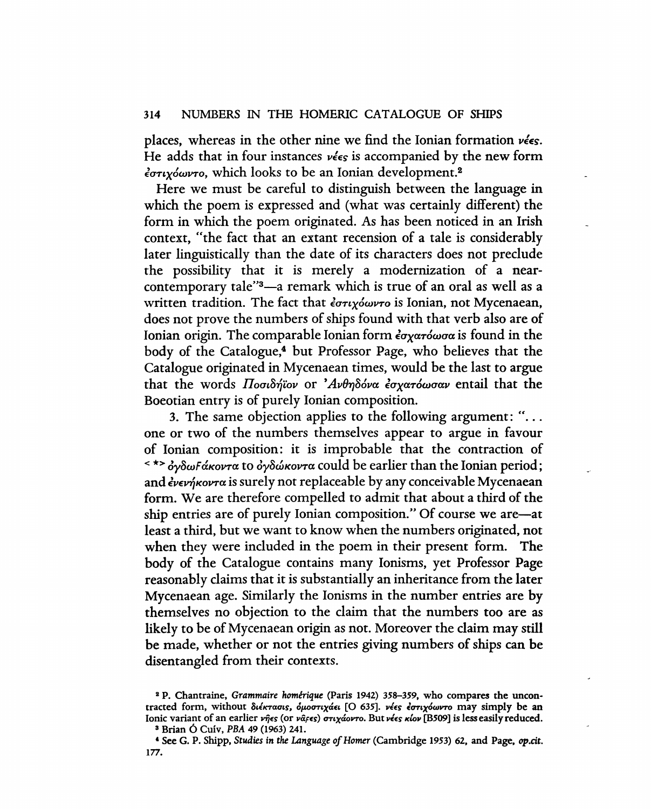#### 314 NUMBERS IN THE HOMERIC CATALOGUE OF SHIPS

places, whereas in the other nine we find the Ionian formation  $\nu \leq \epsilon$ s. He adds that in four instances  $\nu \epsilon \epsilon s$  is accompanied by the new form *€U'T£X6wV'TO,* which looks to be an Ionian development.2

Here we must be careful to distinguish between the language in which the poem is expressed and (what was certainly different) the form in which the poem originated. As has been noticed in an Irish context, "the fact that an extant recension of a tale is considerably later linguistically than the date of its characters does not preclude the possibility that it is merely a modernization of a nearcontemporary tale"3-a remark which is true of an oral as well as a written tradition. The fact that *έστιχόωντ*ο is Ionian, not Mycenaean, does not prove the numbers of ships found with that verb also are of Ionian origin. The comparable Ionian form *εσχατόωσα* is found in the body of the Catalogue,4 but Professor Page, who believes that the Catalogue originated in Mycenaean times, would be the last to argue that the words Ποσιδήϊον or 'Ανθηδόνα έσχατόωσαν entail that the Boeotian entry is of purely Ionian composition.

3. The same objection applies to the following argument: " $\dots$ one or two of the numbers themselves appear to argue in favour of Ionian composition: it is improbable that the contraction of  $\sim$ \*> *δγδωFάκοντ*α to *δγδώκοντ*α could be earlier than the Ionian period; and *€VEV1}KoVTa* is surely not replaceable by any conceivable Mycenaean form. We are therefore compelled to admit that about a third of the ship entries are of purely Ionian composition." Of course we are-at least a third, but we want to know when the numbers originated, not when they were included in the poem in their present form. The body of the Catalogue contains many Ionisms, yet Professor Page reasonably claims that it is substantially an inheritance from the later Mycenaean age. Similarly the Ionisms in the number entries are by themselves no objection to the daim that the numbers too are as likely to be of Mycenaean origin as not. Moreover the claim may still be made, whether or not the entries giving numbers of ships can be disentangled from their contexts.

<sup>&</sup>lt;sup>2</sup> P. Chantraine, Grammaire homérique (Paris 1942) 358-359, who compares the uncontracted form, without διέκτασις, όμοστιχάει [Ο 635]. νέες έστιχόωντο may simply be an Ionic variant of an earlier νήες (or να<sub>Γες)</sub> στιχάοντο. But νέες κίον [B509] is less easily reduced.

<sup>3</sup> Brian 6 Cuiv, PBA 49 (1963) 241.

<sup>,</sup> See G. P. Shipp. *Studies in* the *Language of Homer* (Cambridge 1953) 62. and Page. *op.dt.*  177.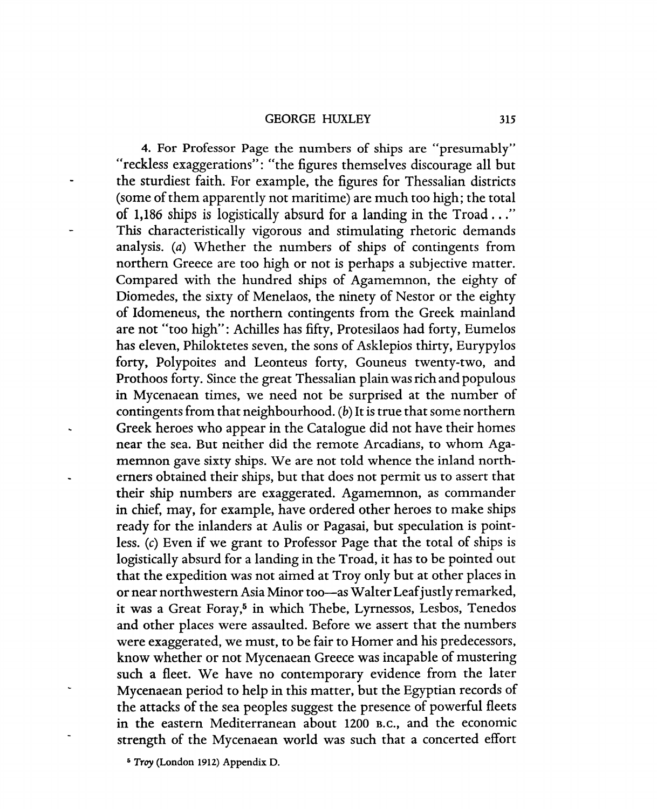#### GEORGE HUXLEY 315

4. For Professor Page the numbers of ships are "presumably" "reckless exaggerations": "the figures themselves discourage all but the sturdiest faith. For example, the figures for Thessalian districts (some of them apparently not maritime) are much too high; the total of 1,186 ships is logistically absurd for a landing in the Troad ... " This characteristically vigorous and stimulating rhetoric demands analysis. (a) Whether the numbers of ships of contingents from northern Greece are too high or not is perhaps a subjective matter. Compared with the hundred ships of Agamemnon, the eighty of Diomedes, the sixty of Menelaos, the ninety of Nestor or the eighty of Idomeneus, the northern contingents from the Greek mainland are not "too high": Achilles has fifty, Protesilaos had forty, Eumelos has eleven, Philoktetes seven, the sons of Asklepios thirty, Eurypylos forty, Polypoites and Leonteus forty, Gouneus twenty-two, and Prothoos forty. Since the great Thessalian plain was rich and populous in Mycenaean times, we need not be surprised at the number of contingents from that neighbourhood. (b) It is true that some northern Greek heroes who appear in the Catalogue did not have their homes near the sea. But neither did the remote Arcadians, to whom Agamemnon gave sixty ships. We are not told whence the inland northerners obtained their ships, but that does not permit us to assert that their ship numbers are exaggerated. Agamemnon, as commander in chief, may, for example, have ordered other heroes to make ships ready for the inlanders at Aulis or Pagasai, but speculation is pointless. (c) Even if we grant to Professor Page that the total of ships is logistically absurd for a landing in the Troad, it has to be pointed out that the expedition was not aimed at Troy only but at other places in or near northwestern Asia Minor too-as Walter Leaf justly remarked, it was a Great Foray,<sup>5</sup> in which Thebe, Lyrnessos, Lesbos, Tenedos and other places were assaulted. Before we assert that the numbers were exaggerated, we must, to be fair to Homer and his predecessors, know whether or not Mycenaean Greece was incapable of mustering such a fleet. We have no contemporary evidence from the later Mycenaean period to help in this matter, but the Egyptian records of the attacks of the sea peoples suggest the presence of powerful fleets in the eastern Mediterranean about 1200 B.C., and the economic strength of the Mycenaean world was such that a concerted effort

<sup>&</sup>lt;sup>5</sup> Troy (London 1912) Appendix D.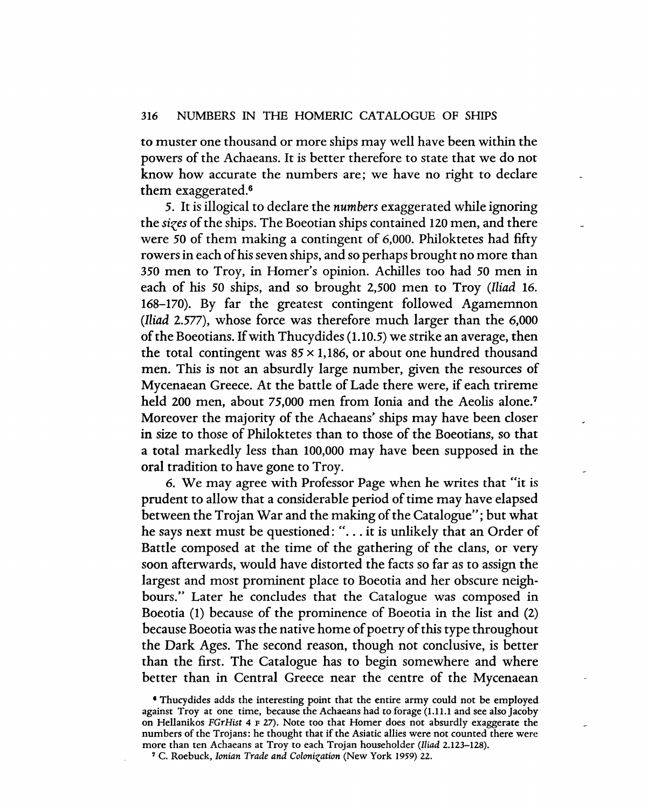to muster one thousand or more ships may well have been within the powers of the Achaeans. It is better therefore to state that we do not know how accurate the numbers are; we have no right to declare them exaggerated.6

5. It is illogical to declare the *numbers* exaggerated while ignoring the *sizes* of the ships. The Boeotian ships contained 120 men, and there were 50 of them making a contingent of 6,000. Philoktetes had fifty rowers in each of his seven ships, and so perhaps brought no more than 350 men to Troy, in Homer's opinion. Achilles too had 50 men in each of his 50 ships, and so brought 2,500 men to Troy *(Iliad* 16. 168-170). By far the greatest contingent followed Agamemnon *(Iliad* 2.577), whose force was therefore much larger than the 6,000 of the Boeotians. If with Thucydides (1.10.5) we strike an average, then the total contingent was  $85 \times 1,186$ , or about one hundred thousand men. This is not an absurdly large number, given the resources of Mycenaean Greece. At the battle of Lade there were, if each trireme held 200 men, about 75,000 men from Ionia and the Aeolis alone.<sup>7</sup> Moreover the majority of the Achaeans' ships may have been closer in size to those of Philoktetes than to those of the Boeotians, so that a total markedly less than 100,000 may have been supposed in the oral tradition to have gone to Troy.

6. We may agree with Professor Page when he writes that "it is prudent to allow that a considerable period of time may have elapsed between the Trojan War and the making of the Catalogue"; but what he says next must be questioned: "... it is unlikely that an Order of Battle composed at the time of the gathering of the clans, or very soon afterwards, would have distorted the facts so far as to assign the largest and most prominent place to Boeotia and her obscure neighbours." Later he concludes that the Catalogue was composed in Boeotia (1) because of the prominence of Boeotia in the list and (2) because Boeotia was the native home of poetry of this type throughout the Dark Ages. The second reason, though not conclusive, is better than the first. The Catalogue has to begin somewhere and where better than in Central Greece near the centre of the Mycenaean

<sup>•</sup> Thucydides adds the interesting point that the entire army could not be employed against Troy at one time, because the Achaeans had to forage (1.11.1 and see also Jacoby on Hellanikos *FGrHist* 4 F 27). Note too that Homer does not absurdly exaggerate the numbers of the Trojans: he thought that if the Asiatic allies were not counted there were more than ten Achaeans at Troy to each Trojan householder *(Iliad 2.123-128).* 

<sup>7</sup> C. Roebuck, *Ionian Trade and Colonization* (New York 1959) 22.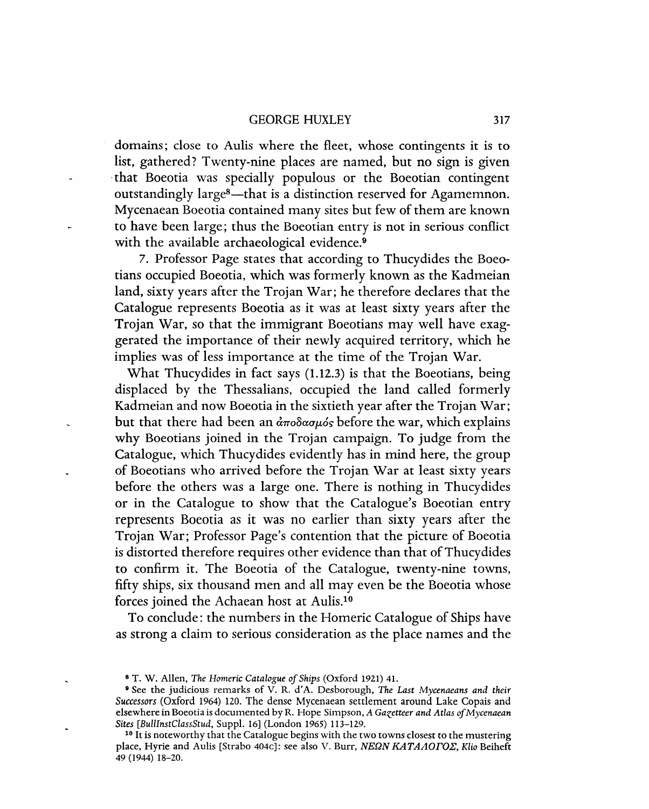#### GEORGE HUXLEY 317

domains; close to Aulis where the fleet, whose contingents it is to list, gathered? Twenty-nine places are named, but no sign is given . that Boeotia was specially populous or the Boeotian contingent outstandingly large<sup>8</sup>—that is a distinction reserved for Agamemnon. Mycenaean Boeotia contained many sites but few of them are known to have been large; thus the Boeotian entry is not in serious conflict with the available archaeological evidence.<sup>9</sup>

7. Professor Page states that according to Thucydides the Boeotians occupied Boeotia, which was formerly known as the Kadmeian land, sixty years after the Trojan War; he therefore declares that the Catalogue represents Boeotia as it was at least sixty years after the Trojan War, so that the immigrant Boeotians may well have exaggerated the importance of their newly acquired territory, which he implies was of less importance at the time of the Trojan War.

What Thucydides in fact says (1.12.3) is that the Boeotians, being displaced by the Thessalians, occupied the land called formerly Kadmeian and now Boeotia in the sixtieth year after the Trojan War; but that there had been an  $\frac{\partial \pi}{\partial \alpha}$  before the war, which explains why Boeotians joined in the Trojan campaign. To judge from the Catalogue, which Thucydides evidently has in mind here, the group of Boeotians who arrived before the Trojan War at least sixty years before the others was a large one. There is nothing in Thucydides or in the Catalogue to show that the Catalogue's Boeotian entry represents Boeotia as it was no earlier than sixty years after the Trojan War; Professor Page's contention that the picture of Boeotia is distorted therefore requires other evidence than that of Thucydides to confirm it. The Boeotia of the Catalogue, twenty-nine towns, fifty ships, six thousand men and all may even be the Boeotia whose forces joined the Achaean host at Aulis.<sup>10</sup>

To conclude: the numbers in the Homeric Catalogue of Ships have as strong a claim to serious consideration as the place names and the

<sup>8</sup> T. W. Allen, *The Homeric Catalogue of Ships* (Oxford 1921) 41.

<sup>&</sup>lt;sup>9</sup> See the judicious remarks of V. R. d'A. Desborough, *The Last Mycenaeans and their Successors* (Oxford 1964) 120. The dense Mycenaean settlement around Lake Copais and elsewhere in Boeotia is documented by R. Hope Simpson, *A Gazetteer and Atlas of Mycenaean Sites [BullInstClassStud,* Suppl. 16] (London 1965) 113-129.

<sup>&</sup>lt;sup>10</sup> It is noteworthy that the Catalogue begins with the two towns closest to the mustering place, Hyrie and Aulis [Strabo 404c]: see also V. Burr, NEQN KATAAOrOE, *Klio* Beiheft 49 (1944) 18-20.